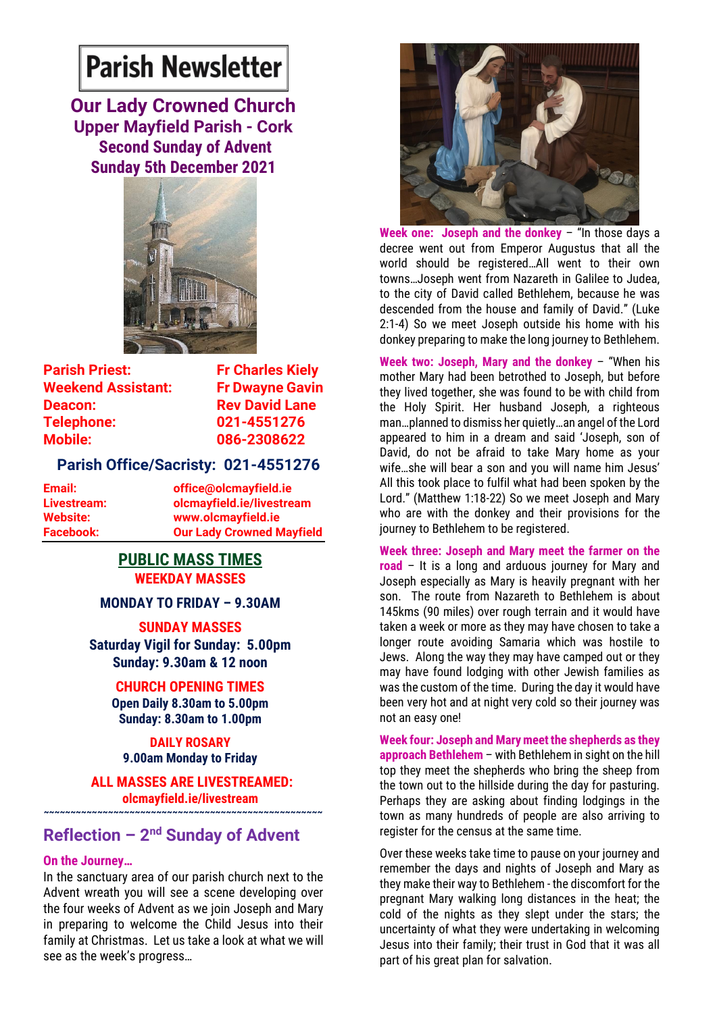# **Parish Newsletter**

**Our Lady Crowned Church Upper Mayfield Parish - Cork Second Sunday of Advent Sunday 5th December 2021**



**Parish Priest:** Fr Charles Kiely **Weekend Assistant: Fr Dwayne Gavin Deacon:** Rev David Lane **Telephone: 021-4551276 Mobile: 086-2308622** 

## **Parish Office/Sacristy: 021-4551276**

**Email: office@olcmayfield.ie Livestream: olcmayfield.ie/livestream Website: www.olcmayfield.ie Facebook: Our Lady Crowned Mayfield**

## **PUBLIC MASS TIMES WEEKDAY MASSES**

**MONDAY TO FRIDAY – 9.30AM**

**SUNDAY MASSES**

**Saturday Vigil for Sunday: 5.00pm Sunday: 9.30am & 12 noon**

> **CHURCH OPENING TIMES Open Daily 8.30am to 5.00pm Sunday: 8.30am to 1.00pm**

**DAILY ROSARY 9.00am Monday to Friday**

**ALL MASSES ARE LIVESTREAMED:**

**olcmayfield.ie/livestream ~~~~~~~~~~~~~~~~~~~~~~~~~~~~~~~~~~~~~~~~~~~~~~~~~~~~**

## **Reflection - 2<sup>nd</sup> Sunday of Advent**

#### **On the Journey…**

In the sanctuary area of our parish church next to the Advent wreath you will see a scene developing over the four weeks of Advent as we join Joseph and Mary in preparing to welcome the Child Jesus into their family at Christmas. Let us take a look at what we will see as the week's progress…



**Week one: Joseph and the donkey** – "In those days a decree went out from Emperor Augustus that all the world should be registered…All went to their own towns…Joseph went from Nazareth in Galilee to Judea, to the city of David called Bethlehem, because he was descended from the house and family of David." (Luke 2:1-4) So we meet Joseph outside his home with his donkey preparing to make the long journey to Bethlehem.

**Week two: Joseph, Mary and the donkey** – "When his mother Mary had been betrothed to Joseph, but before they lived together, she was found to be with child from the Holy Spirit. Her husband Joseph, a righteous man…planned to dismiss her quietly…an angel of the Lord appeared to him in a dream and said 'Joseph, son of David, do not be afraid to take Mary home as your wife…she will bear a son and you will name him Jesus' All this took place to fulfil what had been spoken by the Lord." (Matthew 1:18-22) So we meet Joseph and Mary who are with the donkey and their provisions for the journey to Bethlehem to be registered.

**Week three: Joseph and Mary meet the farmer on the road** – It is a long and arduous journey for Mary and Joseph especially as Mary is heavily pregnant with her son. The route from Nazareth to Bethlehem is about 145kms (90 miles) over rough terrain and it would have taken a week or more as they may have chosen to take a longer route avoiding Samaria which was hostile to Jews. Along the way they may have camped out or they may have found lodging with other Jewish families as was the custom of the time. During the day it would have been very hot and at night very cold so their journey was not an easy one!

**Week four: Joseph and Mary meet the shepherds as they approach Bethlehem** – with Bethlehem in sight on the hill top they meet the shepherds who bring the sheep from the town out to the hillside during the day for pasturing. Perhaps they are asking about finding lodgings in the town as many hundreds of people are also arriving to register for the census at the same time.

Over these weeks take time to pause on your journey and remember the days and nights of Joseph and Mary as they make their way to Bethlehem - the discomfort for the pregnant Mary walking long distances in the heat; the cold of the nights as they slept under the stars; the uncertainty of what they were undertaking in welcoming Jesus into their family; their trust in God that it was all part of his great plan for salvation.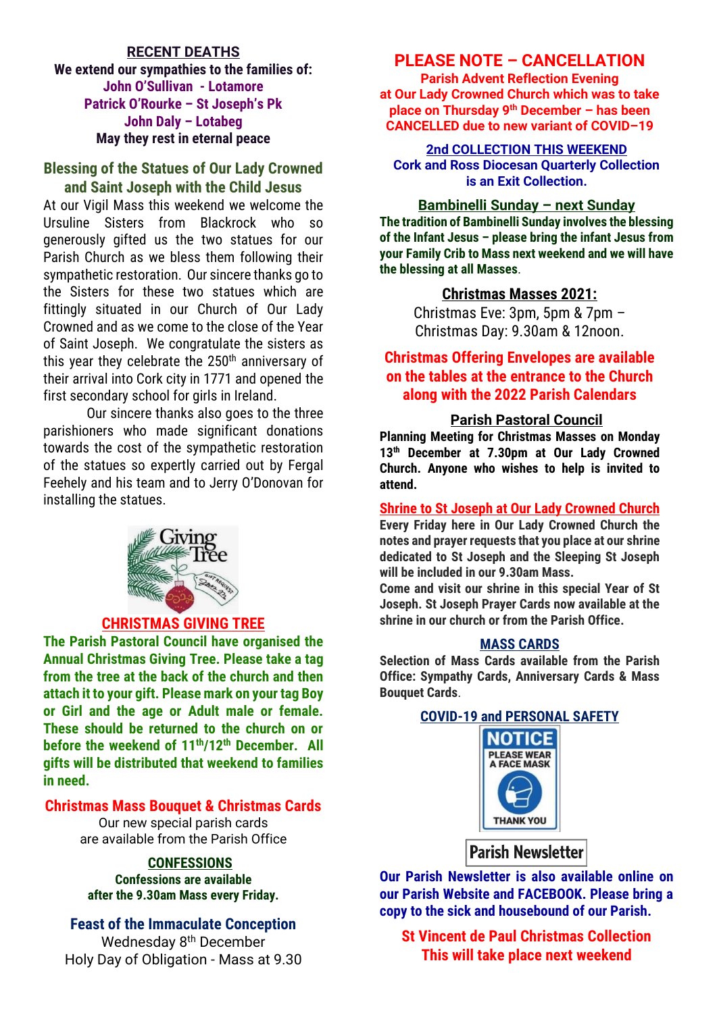## **RECENT DEATHS We extend our sympathies to the families of: John O'Sullivan - Lotamore Patrick O'Rourke – St Joseph's Pk John Daly – Lotabeg May they rest in eternal peace**

## **Blessing of the Statues of Our Lady Crowned and Saint Joseph with the Child Jesus**

At our Vigil Mass this weekend we welcome the Ursuline Sisters from Blackrock who so generously gifted us the two statues for our Parish Church as we bless them following their sympathetic restoration. Our sincere thanks go to the Sisters for these two statues which are fittingly situated in our Church of Our Lady Crowned and as we come to the close of the Year of Saint Joseph. We congratulate the sisters as this year they celebrate the 250<sup>th</sup> anniversary of their arrival into Cork city in 1771 and opened the first secondary school for girls in Ireland.

Our sincere thanks also goes to the three parishioners who made significant donations towards the cost of the sympathetic restoration of the statues so expertly carried out by Fergal Feehely and his team and to Jerry O'Donovan for installing the statues.



#### **CHRISTMAS GIVING TREE**

**The Parish Pastoral Council have organised the Annual Christmas Giving Tree. Please take a tag from the tree at the back of the church and then attach it to your gift. Please mark on your tag Boy or Girl and the age or Adult male or female. These should be returned to the church on or before the weekend of 11th/12th December. All gifts will be distributed that weekend to families in need.**

## **Christmas Mass Bouquet & Christmas Cards**

Our new special parish cards are available from the Parish Office

#### **CONFESSIONS**

**Confessions are available after the 9.30am Mass every Friday.**

**Feast of the Immaculate Conception**

Wednesday 8<sup>th</sup> December Holy Day of Obligation - Mass at 9.30

## **PLEASE NOTE – CANCELLATION**

**Parish Advent Reflection Evening at Our Lady Crowned Church which was to take place on Thursday 9 th December – has been CANCELLED due to new variant of COVID–19** 

**2nd COLLECTION THIS WEEKEND Cork and Ross Diocesan Quarterly Collection is an Exit Collection.**

#### **Bambinelli Sunday – next Sunday**

**The tradition of Bambinelli Sunday involves the blessing of the Infant Jesus – please bring the infant Jesus from your Family Crib to Mass next weekend and we will have the blessing at all Masses**.

#### **Christmas Masses 2021:**

Christmas Eve: 3pm, 5pm & 7pm – Christmas Day: 9.30am & 12noon.

## **Christmas Offering Envelopes are available on the tables at the entrance to the Church along with the 2022 Parish Calendars**

#### **Parish Pastoral Council**

**Planning Meeting for Christmas Masses on Monday 13th December at 7.30pm at Our Lady Crowned Church. Anyone who wishes to help is invited to attend.**

#### **Shrine to St Joseph at Our Lady Crowned Church**

**Every Friday here in Our Lady Crowned Church the notes and prayer requests that you place at our shrine dedicated to St Joseph and the Sleeping St Joseph will be included in our 9.30am Mass.** 

**Come and visit our shrine in this special Year of St Joseph. St Joseph Prayer Cards now available at the shrine in our church or from the Parish Office.**

#### **MASS CARDS**

**Selection of Mass Cards available from the Parish Office: Sympathy Cards, Anniversary Cards & Mass Bouquet Cards**.

## **COVID-19 and PERSONAL SAFETY**



**Parish Newsletter** 

**Our Parish Newsletter is also available online on our Parish Website and FACEBOOK. Please bring a copy to the sick and housebound of our Parish.**

**St Vincent de Paul Christmas Collection This will take place next weekend**